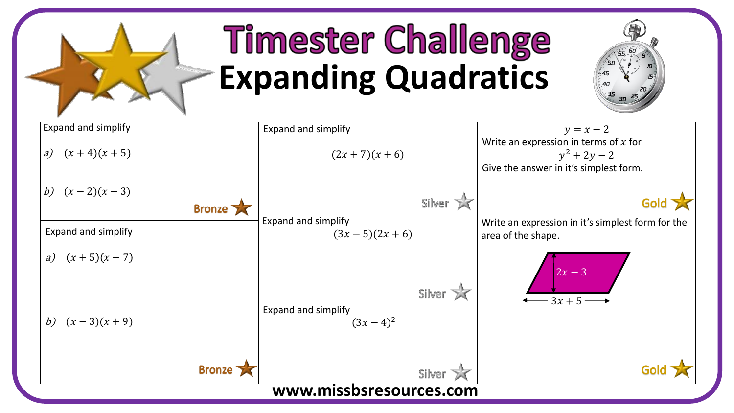

## **Timester Challenge Expanding Quadratics**